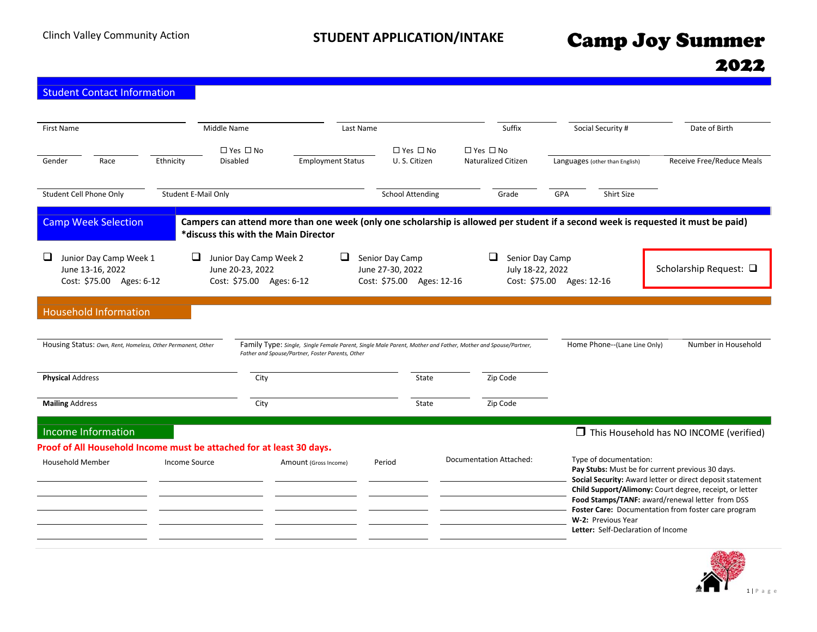| <b>Student Contact Information</b>                                                         |                                                                                                                                                                           |                                                                  |                                             |                                                                  |                                                                                                                                                                                                                                                                                                                                                                          |                                            |  |
|--------------------------------------------------------------------------------------------|---------------------------------------------------------------------------------------------------------------------------------------------------------------------------|------------------------------------------------------------------|---------------------------------------------|------------------------------------------------------------------|--------------------------------------------------------------------------------------------------------------------------------------------------------------------------------------------------------------------------------------------------------------------------------------------------------------------------------------------------------------------------|--------------------------------------------|--|
| Middle Name<br><b>First Name</b><br>Race<br>Gender<br>Ethnicity<br>Disabled                | $\Box$ Yes $\Box$ No<br><b>Employment Status</b>                                                                                                                          | Last Name<br>$\Box$ Yes $\Box$ No<br>U.S. Citizen                | $\Box$ Yes $\Box$ No<br>Naturalized Citizen | Suffix                                                           | Social Security #<br>Languages (other than English)                                                                                                                                                                                                                                                                                                                      | Date of Birth<br>Receive Free/Reduce Meals |  |
| Student Cell Phone Only<br>Student E-Mail Only                                             |                                                                                                                                                                           | <b>School Attending</b>                                          |                                             | Grade<br>GPA                                                     | <b>Shirt Size</b>                                                                                                                                                                                                                                                                                                                                                        |                                            |  |
| <b>Camp Week Selection</b>                                                                 | Campers can attend more than one week (only one scholarship is allowed per student if a second week is requested it must be paid)<br>*discuss this with the Main Director |                                                                  |                                             |                                                                  |                                                                                                                                                                                                                                                                                                                                                                          |                                            |  |
| $\Box$<br>⊔<br>Junior Day Camp Week 1<br>June 13-16, 2022<br>Cost: \$75.00 Ages: 6-12      | Junior Day Camp Week 2<br>June 20-23, 2022<br>Cost: \$75.00 Ages: 6-12                                                                                                    | Senior Day Camp<br>June 27-30, 2022<br>Cost: \$75.00 Ages: 12-16 | ⊔                                           | Senior Day Camp<br>July 18-22, 2022<br>Cost: \$75.00 Ages: 12-16 |                                                                                                                                                                                                                                                                                                                                                                          | Scholarship Request: □                     |  |
| <b>Household Information</b>                                                               |                                                                                                                                                                           |                                                                  |                                             |                                                                  |                                                                                                                                                                                                                                                                                                                                                                          |                                            |  |
| Housing Status: Own, Rent, Homeless, Other Permanent, Other                                | Family Type: Single, Single Female Parent, Single Male Parent, Mother and Father, Mother and Spouse/Partner,<br>Father and Spouse/Partner, Foster Parents, Other          |                                                                  |                                             |                                                                  | Home Phone--(Lane Line Only)                                                                                                                                                                                                                                                                                                                                             | Number in Household                        |  |
| <b>Physical Address</b>                                                                    | City                                                                                                                                                                      |                                                                  | State                                       | Zip Code                                                         |                                                                                                                                                                                                                                                                                                                                                                          |                                            |  |
| <b>Mailing Address</b>                                                                     | City                                                                                                                                                                      |                                                                  | State                                       | Zip Code                                                         |                                                                                                                                                                                                                                                                                                                                                                          |                                            |  |
| Income Information<br>Proof of All Household Income must be attached for at least 30 days. |                                                                                                                                                                           |                                                                  |                                             |                                                                  |                                                                                                                                                                                                                                                                                                                                                                          | This Household has NO INCOME (verified)    |  |
| <b>Household Member</b><br>Income Source                                                   | Amount (Gross Income)                                                                                                                                                     | Period                                                           | <b>Documentation Attached:</b>              |                                                                  | Type of documentation:<br>Pay Stubs: Must be for current previous 30 days.<br>Social Security: Award letter or direct deposit statement<br>Child Support/Alimony: Court degree, receipt, or letter<br>Food Stamps/TANF: award/renewal letter from DSS<br>Foster Care: Documentation from foster care program<br>W-2: Previous Year<br>Letter: Self-Declaration of Income |                                            |  |

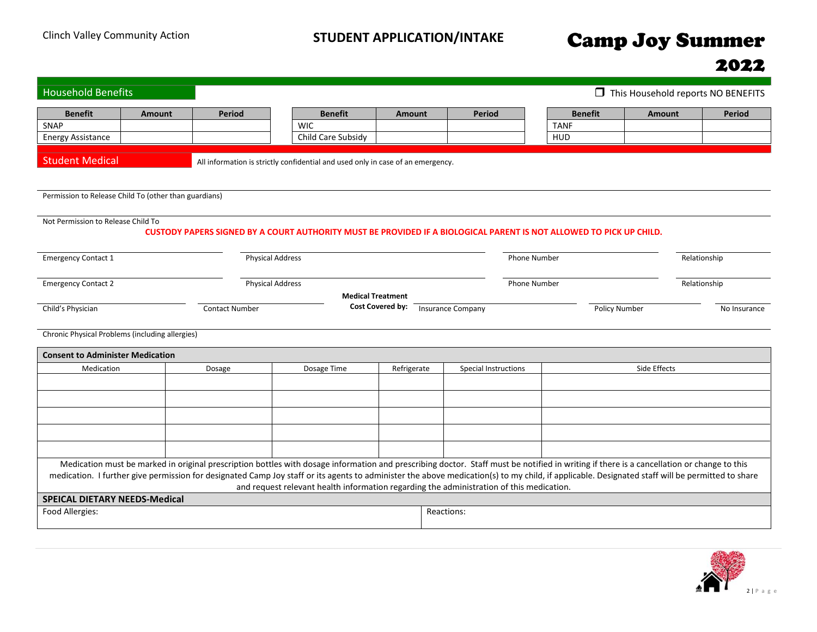| <b>Household Benefits</b>                                                                                                                                                                                                                                                                                                                                                                    |                         |                                                                                                                     |                                                                             |                             |                     | This Household reports NO BENEFITS |               |  |  |  |
|----------------------------------------------------------------------------------------------------------------------------------------------------------------------------------------------------------------------------------------------------------------------------------------------------------------------------------------------------------------------------------------------|-------------------------|---------------------------------------------------------------------------------------------------------------------|-----------------------------------------------------------------------------|-----------------------------|---------------------|------------------------------------|---------------|--|--|--|
| <b>Benefit</b><br><b>Amount</b>                                                                                                                                                                                                                                                                                                                                                              | <b>Period</b>           | <b>Benefit</b>                                                                                                      | <b>Amount</b>                                                               | <b>Period</b>               | <b>Benefit</b>      | <b>Amount</b>                      | <b>Period</b> |  |  |  |
| SNAP                                                                                                                                                                                                                                                                                                                                                                                         |                         | <b>WIC</b>                                                                                                          |                                                                             |                             | <b>TANF</b>         |                                    |               |  |  |  |
| <b>Energy Assistance</b>                                                                                                                                                                                                                                                                                                                                                                     |                         | Child Care Subsidy                                                                                                  |                                                                             |                             | HUD                 |                                    |               |  |  |  |
|                                                                                                                                                                                                                                                                                                                                                                                              |                         |                                                                                                                     |                                                                             |                             |                     |                                    |               |  |  |  |
| <b>Student Medical</b>                                                                                                                                                                                                                                                                                                                                                                       |                         | All information is strictly confidential and used only in case of an emergency.                                     |                                                                             |                             |                     |                                    |               |  |  |  |
| Permission to Release Child To (other than guardians)                                                                                                                                                                                                                                                                                                                                        |                         |                                                                                                                     |                                                                             |                             |                     |                                    |               |  |  |  |
| Not Permission to Release Child To                                                                                                                                                                                                                                                                                                                                                           |                         | CUSTODY PAPERS SIGNED BY A COURT AUTHORITY MUST BE PROVIDED IF A BIOLOGICAL PARENT IS NOT ALLOWED TO PICK UP CHILD. |                                                                             |                             |                     |                                    |               |  |  |  |
|                                                                                                                                                                                                                                                                                                                                                                                              |                         |                                                                                                                     |                                                                             |                             |                     |                                    |               |  |  |  |
| <b>Emergency Contact 1</b>                                                                                                                                                                                                                                                                                                                                                                   | <b>Physical Address</b> |                                                                                                                     |                                                                             |                             | <b>Phone Number</b> |                                    | Relationship  |  |  |  |
| <b>Emergency Contact 2</b>                                                                                                                                                                                                                                                                                                                                                                   | <b>Physical Address</b> |                                                                                                                     | <b>Phone Number</b>                                                         |                             |                     |                                    |               |  |  |  |
|                                                                                                                                                                                                                                                                                                                                                                                              |                         |                                                                                                                     | <b>Medical Treatment</b>                                                    |                             |                     |                                    |               |  |  |  |
| Child's Physician                                                                                                                                                                                                                                                                                                                                                                            | <b>Contact Number</b>   |                                                                                                                     | <b>Cost Covered by:</b><br><b>Insurance Company</b><br><b>Policy Number</b> |                             |                     |                                    |               |  |  |  |
| Chronic Physical Problems (including allergies)                                                                                                                                                                                                                                                                                                                                              |                         |                                                                                                                     |                                                                             |                             |                     |                                    |               |  |  |  |
| <b>Consent to Administer Medication</b>                                                                                                                                                                                                                                                                                                                                                      |                         |                                                                                                                     |                                                                             |                             |                     |                                    |               |  |  |  |
| Medication                                                                                                                                                                                                                                                                                                                                                                                   | Dosage                  | Dosage Time                                                                                                         | Refrigerate                                                                 | <b>Special Instructions</b> |                     | Side Effects                       |               |  |  |  |
|                                                                                                                                                                                                                                                                                                                                                                                              |                         |                                                                                                                     |                                                                             |                             |                     |                                    |               |  |  |  |
|                                                                                                                                                                                                                                                                                                                                                                                              |                         |                                                                                                                     |                                                                             |                             |                     |                                    |               |  |  |  |
|                                                                                                                                                                                                                                                                                                                                                                                              |                         |                                                                                                                     |                                                                             |                             |                     |                                    |               |  |  |  |
|                                                                                                                                                                                                                                                                                                                                                                                              |                         |                                                                                                                     |                                                                             |                             |                     |                                    |               |  |  |  |
|                                                                                                                                                                                                                                                                                                                                                                                              |                         |                                                                                                                     |                                                                             |                             |                     |                                    |               |  |  |  |
| Medication must be marked in original prescription bottles with dosage information and prescribing doctor. Staff must be notified in writing if there is a cancellation or change to this<br>medication. I further give permission for designated Camp Joy staff or its agents to administer the above medication(s) to my child, if applicable. Designated staff will be permitted to share |                         | and request relevant health information regarding the administration of this medication.                            |                                                                             |                             |                     |                                    |               |  |  |  |
| <b>SPEICAL DIETARY NEEDS-Medical</b>                                                                                                                                                                                                                                                                                                                                                         |                         |                                                                                                                     |                                                                             |                             |                     |                                    |               |  |  |  |
| Food Allergies:                                                                                                                                                                                                                                                                                                                                                                              |                         |                                                                                                                     | Reactions:                                                                  |                             |                     |                                    |               |  |  |  |

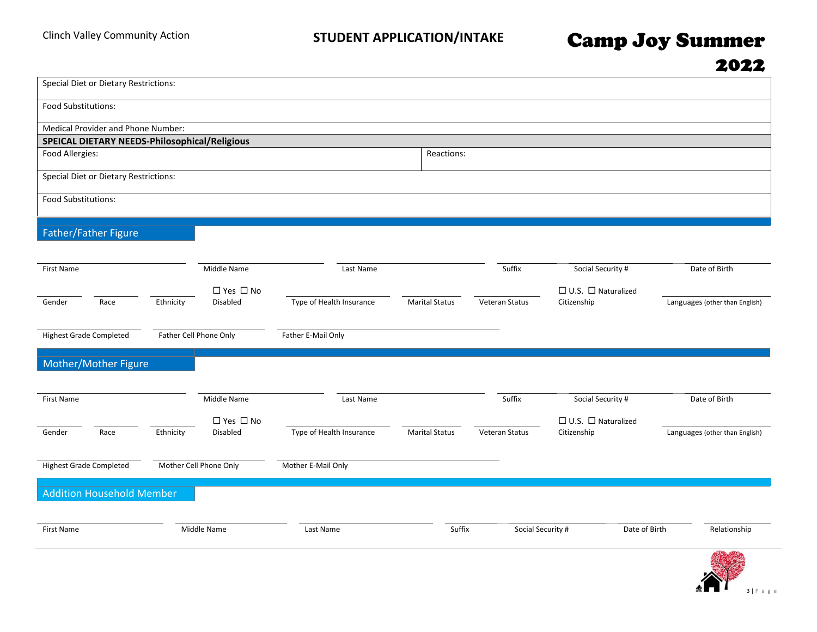| Special Diet or Dietary Restrictions:         |           |                        |                          |                       |                   |                                |                                |
|-----------------------------------------------|-----------|------------------------|--------------------------|-----------------------|-------------------|--------------------------------|--------------------------------|
| Food Substitutions:                           |           |                        |                          |                       |                   |                                |                                |
| Medical Provider and Phone Number:            |           |                        |                          |                       |                   |                                |                                |
| SPEICAL DIETARY NEEDS-Philosophical/Religious |           |                        |                          |                       |                   |                                |                                |
| Food Allergies:                               |           |                        |                          | Reactions:            |                   |                                |                                |
| Special Diet or Dietary Restrictions:         |           |                        |                          |                       |                   |                                |                                |
| Food Substitutions:                           |           |                        |                          |                       |                   |                                |                                |
| Father/Father Figure                          |           |                        |                          |                       |                   |                                |                                |
| First Name                                    |           | Middle Name            | Last Name                |                       | Suffix            | Social Security #              | Date of Birth                  |
|                                               |           | □ Yes □ No             |                          |                       |                   | $\Box$ U.S. $\Box$ Naturalized |                                |
| Race<br>Gender                                | Ethnicity | Disabled               | Type of Health Insurance | <b>Marital Status</b> | Veteran Status    | Citizenship                    | Languages (other than English) |
| <b>Highest Grade Completed</b>                |           | Father Cell Phone Only | Father E-Mail Only       |                       |                   |                                |                                |
| Mother/Mother Figure                          |           |                        |                          |                       |                   |                                |                                |
| First Name                                    |           | Middle Name            | Last Name                |                       | Suffix            | Social Security #              | Date of Birth                  |
|                                               |           | □ Yes □ No             |                          |                       |                   | $\Box$ U.S. $\Box$ Naturalized |                                |
| Gender<br>Race                                | Ethnicity | Disabled               | Type of Health Insurance | <b>Marital Status</b> | Veteran Status    | Citizenship                    | Languages (other than English) |
| <b>Highest Grade Completed</b>                |           | Mother Cell Phone Only | Mother E-Mail Only       |                       |                   |                                |                                |
| <b>Addition Household Member</b>              |           |                        |                          |                       |                   |                                |                                |
| First Name                                    |           | Middle Name            | Last Name                | Suffix                | Social Security # | Date of Birth                  | Relationship                   |
|                                               |           |                        |                          |                       |                   |                                | $4.123 - 2.52$                 |

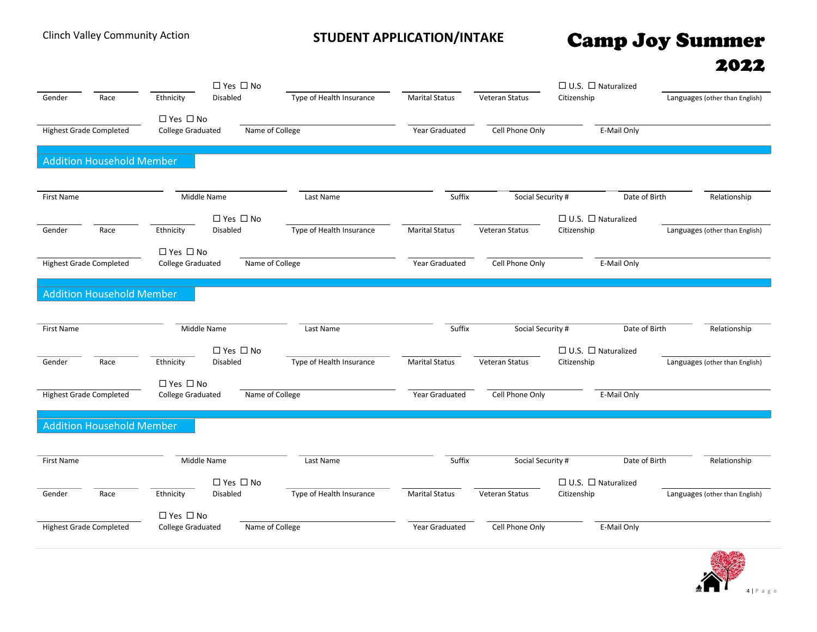|                   |                                  | □ Yes □ No                          |                          |                       |                   | $\Box$ U.S. $\Box$ Naturalized                |                                |
|-------------------|----------------------------------|-------------------------------------|--------------------------|-----------------------|-------------------|-----------------------------------------------|--------------------------------|
| Gender            | Race                             | <b>Disabled</b><br>Ethnicity        | Type of Health Insurance | <b>Marital Status</b> | Veteran Status    | Citizenship                                   | Languages (other than English) |
|                   |                                  | □ Yes □ No                          |                          |                       |                   |                                               |                                |
|                   | <b>Highest Grade Completed</b>   | <b>College Graduated</b>            | Name of College          | Year Graduated        | Cell Phone Only   | E-Mail Only                                   |                                |
|                   |                                  |                                     |                          |                       |                   |                                               |                                |
|                   | <b>Addition Household Member</b> |                                     |                          |                       |                   |                                               |                                |
|                   |                                  |                                     |                          |                       |                   |                                               |                                |
|                   |                                  |                                     |                          |                       |                   |                                               |                                |
| First Name        |                                  | Middle Name                         | Last Name                | Suffix                | Social Security # | Date of Birth                                 | Relationship                   |
|                   |                                  | □ Yes □ No                          |                          |                       |                   | $\Box$ U.S. $\Box$ Naturalized                |                                |
| Gender            | Race                             | Ethnicity<br>Disabled               | Type of Health Insurance | <b>Marital Status</b> | Veteran Status    | Citizenship                                   | Languages (other than English) |
|                   |                                  | □ Yes □ No                          |                          |                       |                   |                                               |                                |
|                   | <b>Highest Grade Completed</b>   | <b>College Graduated</b>            | Name of College          | Year Graduated        | Cell Phone Only   | E-Mail Only                                   |                                |
|                   |                                  |                                     |                          |                       |                   |                                               |                                |
|                   | <b>Addition Household Member</b> |                                     |                          |                       |                   |                                               |                                |
|                   |                                  |                                     |                          |                       |                   |                                               |                                |
| <b>First Name</b> |                                  | Middle Name                         | Last Name                | Suffix                | Social Security # | Date of Birth                                 | Relationship                   |
|                   |                                  |                                     |                          |                       |                   |                                               |                                |
|                   |                                  | □ Yes □ No                          |                          |                       |                   | $\Box$ U.S. $\Box$ Naturalized                |                                |
| Gender            | Race                             | Disabled<br>Ethnicity               | Type of Health Insurance | <b>Marital Status</b> | Veteran Status    | Citizenship                                   | Languages (other than English) |
|                   |                                  | □ Yes □ No                          |                          |                       |                   |                                               |                                |
|                   | <b>Highest Grade Completed</b>   | <b>College Graduated</b>            | Name of College          | Year Graduated        | Cell Phone Only   | E-Mail Only                                   |                                |
|                   |                                  |                                     |                          |                       |                   |                                               |                                |
|                   | <b>Addition Household Member</b> |                                     |                          |                       |                   |                                               |                                |
|                   |                                  |                                     |                          |                       |                   |                                               |                                |
| First Name        |                                  | Middle Name                         | Last Name                | Suffix                | Social Security # | Date of Birth                                 | Relationship                   |
|                   |                                  |                                     |                          |                       |                   |                                               |                                |
| Gender            | Race                             | □ Yes □ No<br>Ethnicity<br>Disabled | Type of Health Insurance | <b>Marital Status</b> | Veteran Status    | $\Box$ U.S. $\Box$ Naturalized<br>Citizenship | Languages (other than English) |
|                   |                                  |                                     |                          |                       |                   |                                               |                                |
|                   |                                  | $\Box$ Yes $\Box$ No                |                          |                       |                   |                                               |                                |
|                   | <b>Highest Grade Completed</b>   | <b>College Graduated</b>            | Name of College          | Year Graduated        | Cell Phone Only   | E-Mail Only                                   |                                |
|                   |                                  |                                     |                          |                       |                   |                                               |                                |

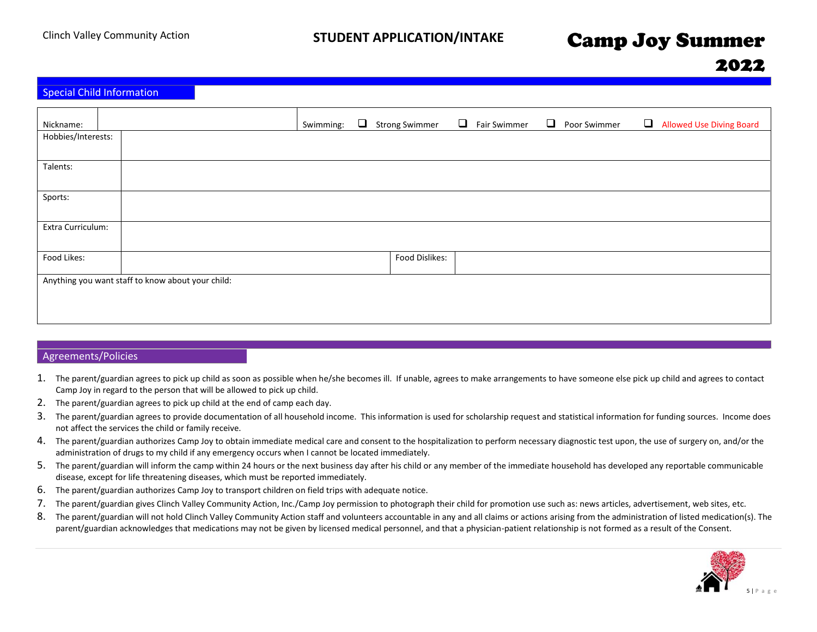## 2022

|  |  | <b>Special Child Information</b> |
|--|--|----------------------------------|
|--|--|----------------------------------|

| Nickname:          |                                                   | Swimming: | $\Box$ | <b>Strong Swimmer</b> | $\Box$ | Fair Swimmer | $\Box$ | Poor Swimmer | Allowed Use Diving Board |
|--------------------|---------------------------------------------------|-----------|--------|-----------------------|--------|--------------|--------|--------------|--------------------------|
| Hobbies/Interests: |                                                   |           |        |                       |        |              |        |              |                          |
|                    |                                                   |           |        |                       |        |              |        |              |                          |
|                    |                                                   |           |        |                       |        |              |        |              |                          |
| Talents:           |                                                   |           |        |                       |        |              |        |              |                          |
|                    |                                                   |           |        |                       |        |              |        |              |                          |
|                    |                                                   |           |        |                       |        |              |        |              |                          |
| Sports:            |                                                   |           |        |                       |        |              |        |              |                          |
|                    |                                                   |           |        |                       |        |              |        |              |                          |
|                    |                                                   |           |        |                       |        |              |        |              |                          |
|                    |                                                   |           |        |                       |        |              |        |              |                          |
| Extra Curriculum:  |                                                   |           |        |                       |        |              |        |              |                          |
|                    |                                                   |           |        |                       |        |              |        |              |                          |
|                    |                                                   |           |        |                       |        |              |        |              |                          |
| Food Likes:        |                                                   |           |        | Food Dislikes:        |        |              |        |              |                          |
|                    |                                                   |           |        |                       |        |              |        |              |                          |
|                    |                                                   |           |        |                       |        |              |        |              |                          |
|                    | Anything you want staff to know about your child: |           |        |                       |        |              |        |              |                          |
|                    |                                                   |           |        |                       |        |              |        |              |                          |
|                    |                                                   |           |        |                       |        |              |        |              |                          |
|                    |                                                   |           |        |                       |        |              |        |              |                          |
|                    |                                                   |           |        |                       |        |              |        |              |                          |

## Agreements/Policies

- 1. The parent/guardian agrees to pick up child as soon as possible when he/she becomes ill. If unable, agrees to make arrangements to have someone else pick up child and agrees to contact Camp Joy in regard to the person that will be allowed to pick up child.
- 2. The parent/guardian agrees to pick up child at the end of camp each day.
- 3. The parent/guardian agrees to provide documentation of all household income. This information is used for scholarship request and statistical information for funding sources. Income does not affect the services the child or family receive.
- 4. The parent/guardian authorizes Camp Joy to obtain immediate medical care and consent to the hospitalization to perform necessary diagnostic test upon, the use of surgery on, and/or the administration of drugs to my child if any emergency occurs when I cannot be located immediately.
- 5. The parent/guardian will inform the camp within 24 hours or the next business day after his child or any member of the immediate household has developed any reportable communicable disease, except for life threatening diseases, which must be reported immediately.
- 6. The parent/guardian authorizes Camp Joy to transport children on field trips with adequate notice.
- 7. The parent/guardian gives Clinch Valley Community Action, Inc./Camp Joy permission to photograph their child for promotion use such as: news articles, advertisement, web sites, etc.
- 8. The parent/guardian will not hold Clinch Valley Community Action staff and volunteers accountable in any and all claims or actions arising from the administration of listed medication(s). The parent/guardian acknowledges that medications may not be given by licensed medical personnel, and that a physician-patient relationship is not formed as a result of the Consent.

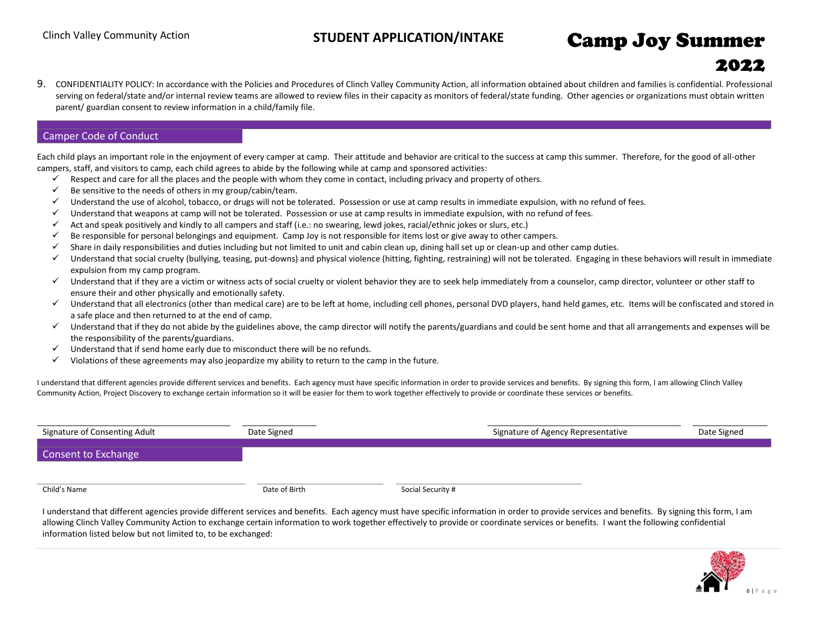## 2022

9. CONFIDENTIALITY POLICY: In accordance with the Policies and Procedures of Clinch Valley Community Action, all information obtained about children and families is confidential. Professional serving on federal/state and/or internal review teams are allowed to review files in their capacity as monitors of federal/state funding. Other agencies or organizations must obtain written parent/ guardian consent to review information in a child/family file.

## Camper Code of Conduct

Each child plays an important role in the enjoyment of every camper at camp. Their attitude and behavior are critical to the success at camp this summer. Therefore, for the good of all-other campers, staff, and visitors to camp, each child agrees to abide by the following while at camp and sponsored activities:

- Respect and care for all the places and the people with whom they come in contact, including privacy and property of others.
- $\checkmark$  Be sensitive to the needs of others in my group/cabin/team.
- ✓ Understand the use of alcohol, tobacco, or drugs will not be tolerated. Possession or use at camp results in immediate expulsion, with no refund of fees.
- ✓ Understand that weapons at camp will not be tolerated. Possession or use at camp results in immediate expulsion, with no refund of fees.
- $\checkmark$  Act and speak positively and kindly to all campers and staff (i.e.: no swearing, lewd jokes, racial/ethnic jokes or slurs, etc.)
- $\checkmark$  Be responsible for personal belongings and equipment. Camp Joy is not responsible for items lost or give away to other campers.
- ✓ Share in daily responsibilities and duties including but not limited to unit and cabin clean up, dining hall set up or clean-up and other camp duties.
- ✓ Understand that social cruelty (bullying, teasing, put-downs) and physical violence (hitting, fighting, restraining) will not be tolerated. Engaging in these behaviors will result in immediate expulsion from my camp program.
- ✓ Understand that if they are a victim or witness acts of social cruelty or violent behavior they are to seek help immediately from a counselor, camp director, volunteer or other staff to ensure their and other physically and emotionally safety.
- ✓ Understand that all electronics (other than medical care) are to be left at home, including cell phones, personal DVD players, hand held games, etc. Items will be confiscated and stored in a safe place and then returned to at the end of camp.
- Understand that if they do not abide by the guidelines above, the camp director will notify the parents/guardians and could be sent home and that all arrangements and expenses will be the responsibility of the parents/guardians.
- $\checkmark$  Understand that if send home early due to misconduct there will be no refunds.
- $\checkmark$  Violations of these agreements may also jeopardize my ability to return to the camp in the future.

I understand that different agencies provide different services and benefits. Each agency must have specific information in order to provide services and benefits. By signing this form, I am allowing Clinch Valley Community Action, Project Discovery to exchange certain information so it will be easier for them to work together effectively to provide or coordinate these services or benefits.

| Signature of Consenting Adult | Date Signed   |                   | Signature of Agency Representative | Date Signed |
|-------------------------------|---------------|-------------------|------------------------------------|-------------|
| Consent to Exchange           |               |                   |                                    |             |
|                               |               |                   |                                    |             |
| Child's Name                  | Date of Birth | Social Security # |                                    |             |

I understand that different agencies provide different services and benefits. Each agency must have specific information in order to provide services and benefits. By signing this form, I am allowing Clinch Valley Community Action to exchange certain information to work together effectively to provide or coordinate services or benefits. I want the following confidential information listed below but not limited to, to be exchanged:

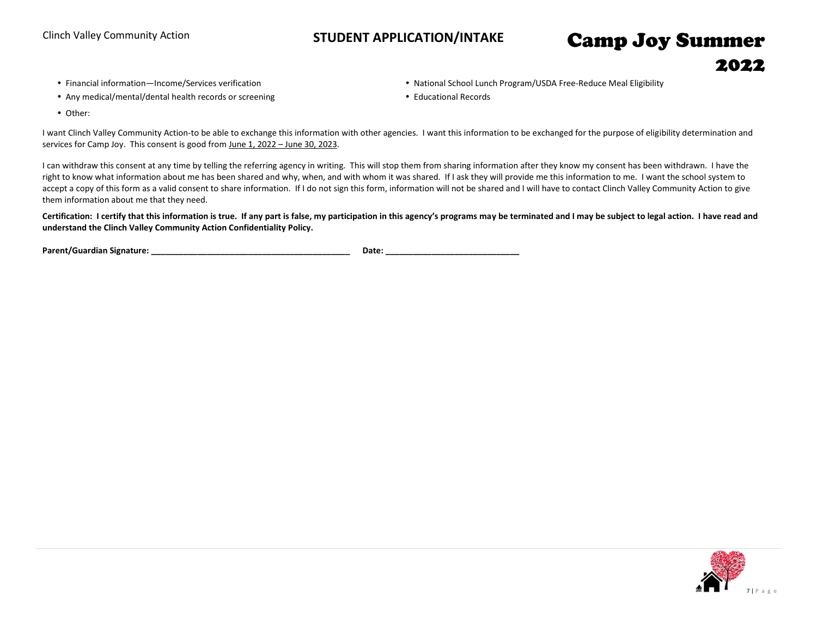2022

- 
- Any medical/mental/dental health records or screening entitled and the medicational Records
- Financial information—Income/Services verification **Nation National School Lunch Program/USDA Free-Reduce Meal Eligibility** 
	-

• Other:

I want Clinch Valley Community Action-to be able to exchange this information with other agencies. I want this information to be exchanged for the purpose of eligibility determination and services for Camp Joy. This consent is good from June 1, 2022 – June 30, 2023.

I can withdraw this consent at any time by telling the referring agency in writing. This will stop them from sharing information after they know my consent has been withdrawn. I have the right to know what information about me has been shared and why, when, and with whom it was shared. If I ask they will provide me this information to me. I want the school system to accept a copy of this form as a valid consent to share information. If I do not sign this form, information will not be shared and I will have to contact Clinch Valley Community Action to give them information about me that they need.

**Certification: I certify that this information is true. If any part is false, my participation in this agency's programs may be terminated and I may be subject to legal action. I have read and understand the Clinch Valley Community Action Confidentiality Policy.** 

**Parent/Guardian Signature: \_\_\_\_\_\_\_\_\_\_\_\_\_\_\_\_\_\_\_\_\_\_\_\_\_\_\_\_\_\_\_\_\_\_\_\_\_\_\_\_\_\_\_ Date: \_\_\_\_\_\_\_\_\_\_\_\_\_\_\_\_\_\_\_\_\_\_\_\_\_\_\_\_\_**

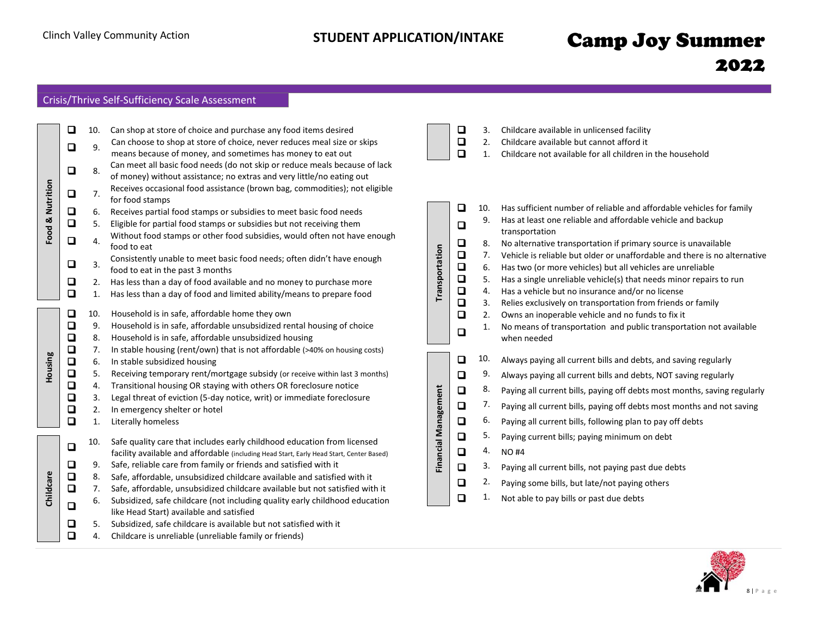## Crisis/Thrive Self-Sufficiency Scale Assessment

|                  | ❏      | 10. | Can shop at store of choice and purchase any food items desired                                                                                     |                      | C                |
|------------------|--------|-----|-----------------------------------------------------------------------------------------------------------------------------------------------------|----------------------|------------------|
|                  | ◻      | 9.  | Can choose to shop at store of choice, never reduces meal size or skips<br>means because of money, and sometimes has money to eat out               |                      | C<br>D           |
|                  | Q      | 8.  | Can meet all basic food needs (do not skip or reduce meals because of lack<br>of money) without assistance; no extras and very little/no eating out |                      |                  |
| Food & Nutrition | О      | 7.  | Receives occasional food assistance (brown bag, commodities); not eligible<br>for food stamps                                                       |                      |                  |
|                  | О      | 6.  | Receives partial food stamps or subsidies to meet basic food needs                                                                                  |                      | C                |
|                  | $\Box$ | 5.  | Eligible for partial food stamps or subsidies but not receiving them                                                                                |                      | C                |
|                  | Q      | 4.  | Without food stamps or other food subsidies, would often not have enough<br>food to eat                                                             |                      | C                |
|                  | □      | 3.  | Consistently unable to meet basic food needs; often didn't have enough<br>food to eat in the past 3 months                                          | Transportation       | $\Box$<br>$\Box$ |
|                  | Q      | 2.  | Has less than a day of food available and no money to purchase more                                                                                 |                      | $\overline{a}$   |
|                  | $\Box$ | 1.  | Has less than a day of food and limited ability/means to prepare food                                                                               |                      | C                |
|                  | □      | 10. | Household is in safe, affordable home they own                                                                                                      |                      | $\Box$<br>$\Box$ |
|                  | Q      | 9.  | Household is in safe, affordable unsubsidized rental housing of choice                                                                              |                      |                  |
|                  | $\Box$ | 8.  | Household is in safe, affordable unsubsidized housing                                                                                               |                      | C                |
|                  | $\Box$ | 7.  | In stable housing (rent/own) that is not affordable (>40% on housing costs)                                                                         |                      |                  |
| Housing          | $\Box$ | 6.  | In stable subsidized housing                                                                                                                        |                      | C                |
|                  | $\Box$ | 5.  | Receiving temporary rent/mortgage subsidy (or receive within last 3 months)                                                                         |                      | D                |
|                  | О      | 4.  | Transitional housing OR staying with others OR foreclosure notice                                                                                   |                      |                  |
|                  | $\Box$ | 3.  | Legal threat of eviction (5-day notice, writ) or immediate foreclosure                                                                              |                      | C                |
|                  | Q      | 2.  | In emergency shelter or hotel                                                                                                                       |                      | $\overline{a}$   |
|                  | $\Box$ | 1.  | Literally homeless                                                                                                                                  |                      | $\overline{a}$   |
|                  |        | 10. | Safe quality care that includes early childhood education from licensed                                                                             | Financial Management | C                |
|                  | O      |     | facility available and affordable (including Head Start, Early Head Start, Center Based)                                                            |                      | C                |
|                  | О      | 9.  | Safe, reliable care from family or friends and satisfied with it                                                                                    |                      | $\Box$           |
|                  | Q      | 8.  | Safe, affordable, unsubsidized childcare available and satisfied with it                                                                            |                      |                  |
|                  | О      | 7.  | Safe, affordable, unsubsidized childcare available but not satisfied with it                                                                        |                      | D                |
| Childcare        |        | 6.  | Subsidized, safe childcare (not including quality early childhood education                                                                         |                      | C                |
|                  | Q      |     | like Head Start) available and satisfied                                                                                                            |                      |                  |
|                  | ❏      | 5.  | Subsidized, safe childcare is available but not satisfied with it                                                                                   |                      |                  |
|                  | $\Box$ | 4.  | Childcare is unreliable (unreliable family or friends)                                                                                              |                      |                  |

| □ | 3. Childcare available in unlicensed facility |  |  |
|---|-----------------------------------------------|--|--|
| — |                                               |  |  |

- ❑ 2. Childcare available but cannot afford it
- ❑ 1. Childcare not available for all children in the household

| П      | 10. | Has sufficient number of reliable and affordable vehicles for family          |
|--------|-----|-------------------------------------------------------------------------------|
| ◻      | 9.  | Has at least one reliable and affordable vehicle and backup<br>transportation |
| О      | 8.  | No alternative transportation if primary source is unavailable                |
| $\Box$ | 7.  | Vehicle is reliable but older or unaffordable and there is no alternative     |
| $\Box$ | 6.  | Has two (or more vehicles) but all vehicles are unreliable                    |
| $\Box$ | 5.  | Has a single unreliable vehicle(s) that needs minor repairs to run            |
| $\Box$ | 4.  | Has a vehicle but no insurance and/or no license                              |
| О      | 3.  | Relies exclusively on transportation from friends or family                   |
| О      | 2.  | Owns an inoperable vehicle and no funds to fix it                             |
| □      | 1.  | No means of transportation and public transportation not available            |
|        |     | when needed                                                                   |
| □      | 10. | Always paying all current bills and debts, and saving regularly               |
| О      | 9.  | Always paying all current bills and debts, NOT saving regularly               |
| o      | 8.  | Paying all current bills, paying off debts most months, saving regularly      |
| $\Box$ | 7.  | Paying all current bills, paying off debts most months and not saving         |
| $\Box$ | 6.  | Paying all current bills, following plan to pay off debts                     |
| $\Box$ | 5.  | Paying current bills; paying minimum on debt                                  |
| О      | 4.  | <b>NO#4</b>                                                                   |
| О      | 3.  | Paying all current bills, not paying past due debts                           |
| ם      | 2.  | Paying some bills, but late/not paying others                                 |
| ◻      | 1.  | Not able to pay bills or past due debts                                       |

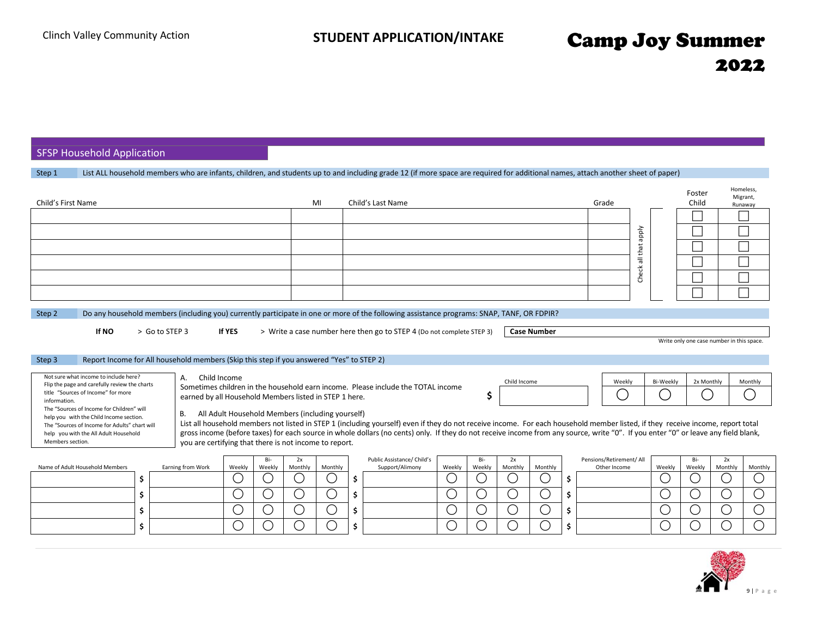SFSP Household Application

| Step 1 | List ALL household members who are infants, children, and students up to and including grade 12 (if more space are required for additional names, attach another sheet of paper) |
|--------|----------------------------------------------------------------------------------------------------------------------------------------------------------------------------------|
|        |                                                                                                                                                                                  |

| Child's First Name                                                                                                                                                                                                                                                                                                                                                                                                                                                                        |                                                                  |                     |               | MI                |    | Child's Last Name                                                                                                                                                                                                                                                                                                                                                                                                                                         |             |                                           |                    |                |     | Grade                                    | Vldde<br>Check all that |                               | Foster<br>Child      |                         | Homeless,<br>Migrant,<br>Runaway |
|-------------------------------------------------------------------------------------------------------------------------------------------------------------------------------------------------------------------------------------------------------------------------------------------------------------------------------------------------------------------------------------------------------------------------------------------------------------------------------------------|------------------------------------------------------------------|---------------------|---------------|-------------------|----|-----------------------------------------------------------------------------------------------------------------------------------------------------------------------------------------------------------------------------------------------------------------------------------------------------------------------------------------------------------------------------------------------------------------------------------------------------------|-------------|-------------------------------------------|--------------------|----------------|-----|------------------------------------------|-------------------------|-------------------------------|----------------------|-------------------------|----------------------------------|
| Do any household members (including you) currently participate in one or more of the following assistance programs: SNAP, TANF, OR FDPIR?<br>Step 2<br>If NO<br>> Go to STEP 3<br><b>If YES</b><br>> Write a case number here then go to STEP 4 (Do not complete STEP 3)<br><b>Case Number</b><br>Write only one case number in this space.<br>Report Income for All household members (Skip this step if you answered "Yes" to STEP 2)<br>Step 3                                         |                                                                  |                     |               |                   |    |                                                                                                                                                                                                                                                                                                                                                                                                                                                           |             |                                           |                    |                |     |                                          |                         |                               |                      |                         |                                  |
| Not sure what income to include here?<br>A.<br>Flip the page and carefully review the charts<br>title "Sources of Income" for more<br>earned by all Household Members listed in STEP 1 here.<br>information.<br>The "Sources of Income for Children" will<br><b>B.</b><br>help you with the Child Income section.<br>The "Sources of Income for Adults" chart will<br>help you with the All Adult Household<br>Members section.<br>you are certifying that there is not income to report. | Child Income<br>All Adult Household Members (including yourself) |                     |               |                   |    | Sometimes children in the household earn income. Please include the TOTAL income<br>List all household members not listed in STEP 1 (including yourself) even if they do not receive income. For each household member listed, if they receive income, report total<br>gross income (before taxes) for each source in whole dollars (no cents) only. If they do not receive income from any source, write "0". If you enter "0" or leave any field blank, |             | S                                         | Child Income       |                |     | Weekly                                   |                         | Bi-Weekly                     | 2x Monthly           |                         | Monthly                          |
| Name of Adult Household Members<br>Earning from Work<br>\$                                                                                                                                                                                                                                                                                                                                                                                                                                | Weekly<br>$(\ )$                                                 | Bi-<br>Weekly<br>U. | 2x<br>Monthly | Monthly<br>$\cup$ | \$ | Public Assistance/ Child's<br>Support/Alimony                                                                                                                                                                                                                                                                                                                                                                                                             | Weekly<br>С | Bi-<br>Weekly<br>$\overline{\phantom{a}}$ | 2x<br>Monthly<br>U | Monthly<br>( ) | \$. | Pensions/Retirement/ All<br>Other Income |                         | Weekly<br>( )                 | Bi-<br>Weekly<br>( ) | 2x<br>Monthly<br>$\Box$ | Monthly<br>(                     |
| Ś.<br>\$                                                                                                                                                                                                                                                                                                                                                                                                                                                                                  | С                                                                | С                   |               | ⌒                 | \$ |                                                                                                                                                                                                                                                                                                                                                                                                                                                           | С<br>$\cup$ | ز<br>ر                                    | О<br>С             | ( )            | \$  |                                          |                         | ( )<br>$\left( \quad \right)$ | ( )                  | ◯                       | C                                |

**\$ \$ \$**

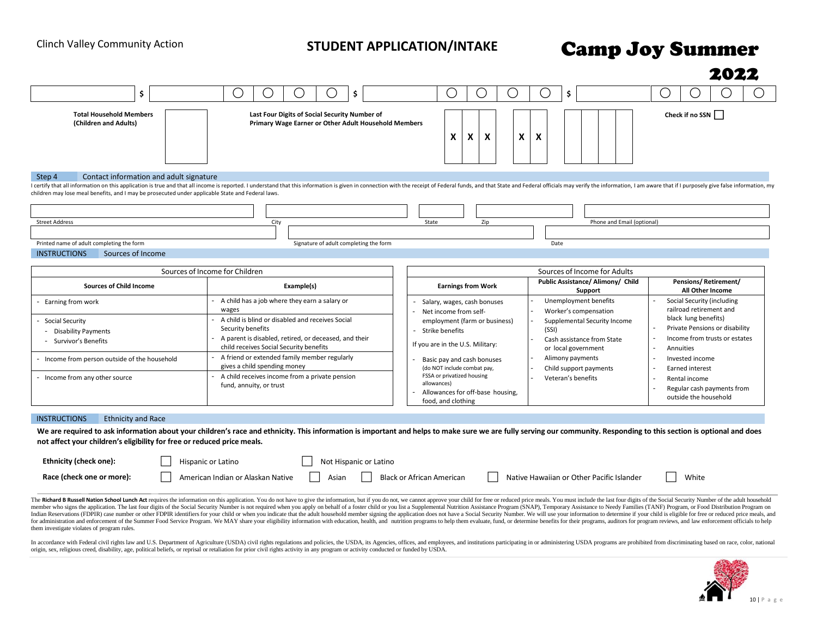|                                                                                                                                                        |                                                                                                                                                                                                                               |                                                                                                                                    |                                                   | 2022                                                                                    |  |  |  |  |
|--------------------------------------------------------------------------------------------------------------------------------------------------------|-------------------------------------------------------------------------------------------------------------------------------------------------------------------------------------------------------------------------------|------------------------------------------------------------------------------------------------------------------------------------|---------------------------------------------------|-----------------------------------------------------------------------------------------|--|--|--|--|
| \$                                                                                                                                                     | \$<br>( )<br>( )                                                                                                                                                                                                              | $\left(\right)$<br>ι.<br>$\overline{\phantom{a}}$                                                                                  | \$<br>$\left(\begin{array}{c} \end{array}\right)$ |                                                                                         |  |  |  |  |
| <b>Total Household Members</b><br>(Children and Adults)                                                                                                | Last Four Digits of Social Security Number of<br>Primary Wage Earner or Other Adult Household Members                                                                                                                         | Check if no SSN<br>X<br>X<br>X<br>X<br>x                                                                                           |                                                   |                                                                                         |  |  |  |  |
| Step 4<br>Contact information and adult signature<br>children may lose meal benefits, and I may be prosecuted under applicable State and Federal laws. | I certify that all information on this application is true and that all income is reported. I understand that this information is given in connection with the receipt of Federal funds, and that State and Federal officials |                                                                                                                                    |                                                   |                                                                                         |  |  |  |  |
| <b>Street Address</b><br>Printed name of adult completing the form<br><b>INSTRUCTIONS</b><br>Sources of Income                                         | City<br>Signature of adult completing the form                                                                                                                                                                                | State<br>Zip                                                                                                                       | Phone and Email (optional)<br>Date                |                                                                                         |  |  |  |  |
|                                                                                                                                                        | Sources of Income for Children                                                                                                                                                                                                |                                                                                                                                    | Sources of Income for Adults                      |                                                                                         |  |  |  |  |
| <b>Sources of Child Income</b>                                                                                                                         | Example(s)                                                                                                                                                                                                                    | <b>Earnings from Work</b>                                                                                                          | Public Assistance/ Alimony/ Child<br>Support      | <b>Pensions/Retirement/</b><br>All Other Income                                         |  |  |  |  |
| Earning from work                                                                                                                                      | A child has a job where they earn a salary or<br>wages                                                                                                                                                                        | Salary, wages, cash bonuses<br>Net income from self-                                                                               | Unemployment benefits<br>Worker's compensation    | Social Security (including<br>railroad retirement and                                   |  |  |  |  |
| Social Security<br><b>Disability Payments</b>                                                                                                          | A child is blind or disabled and receives Social<br>Security benefits                                                                                                                                                         | employment (farm or business)<br>Strike benefits                                                                                   | Supplemental Security Income<br>(SSI)             | black lung benefits)<br>Private Pensions or disability                                  |  |  |  |  |
| - Survivor's Benefits                                                                                                                                  | A parent is disabled, retired, or deceased, and their<br>child receives Social Security benefits                                                                                                                              | If you are in the U.S. Military:                                                                                                   | Cash assistance from State<br>or local government | Income from trusts or estates<br>Annuities                                              |  |  |  |  |
| - Income from person outside of the household                                                                                                          | A friend or extended family member regularly<br>gives a child spending money                                                                                                                                                  | Basic pay and cash bonuses                                                                                                         | Alimony payments                                  | Invested income                                                                         |  |  |  |  |
| - Income from any other source                                                                                                                         | A child receives income from a private pension<br>fund, annuity, or trust                                                                                                                                                     | (do NOT include combat pay,<br>FSSA or privatized housing<br>allowances)<br>Allowances for off-base housing,<br>food, and clothing | Child support payments<br>Veteran's benefits      | Earned interest<br>Rental income<br>Regular cash payments from<br>outside the household |  |  |  |  |

| Ethnicity (check one):    | Hispanic or Latino                | Not Hispanic or Latino |                           |                                           |       |  |  |  |
|---------------------------|-----------------------------------|------------------------|---------------------------|-------------------------------------------|-------|--|--|--|
| Race (check one or more): | American Indian or Alaskan Native | Asian                  | Black or African American | Native Hawaiian or Other Pacific Islander | White |  |  |  |

The Richard B Russell Nation School Lunch Act requires the information on this application. You do not have to give the information, but if you do not, we cannot approve your child for free or reduced price meals. You must member who signs the application. The last four digits of the Social Security Number is not required when you apply on behalf of a foster child or you list a Supplemental Nutrition Assistance Program (SNAP), Temporary Assi Indian Reservations (FDPIR) case number or other FDPIR identifiers for your child or when you indicate that the adult household member signing the application does not have a Social Security Number. We will use your inform for administration and enforcement of the Summer Food Service Program. We MAY share your eligibility information with education, health, and nutrition programs to help them evaluate, fund, or determine benefits for their p them investigate violates of program rules.

In accordance with Federal civil rights law and U.S. Department of Agriculture (USDA) civil rights regulations and policies, the USDA, its Agencies, offices, and employees, and institutions participating in or administerin origin, sex, religious creed, disability, age, political beliefs, or reprisal or retaliation for prior civil rights activity in any program or activity conducted or funded by USDA.